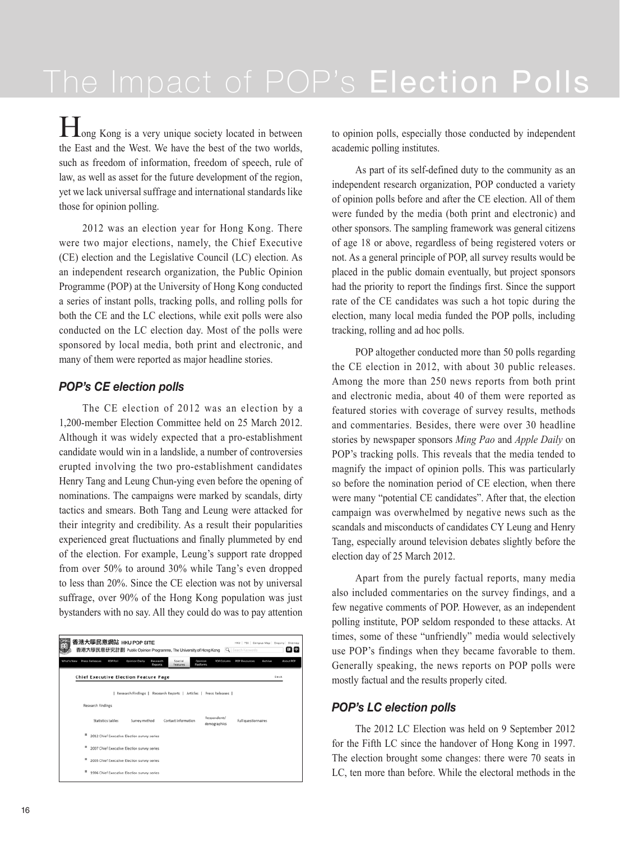# The Impact of POP's Election Polls

**H**ong Kong is a very unique society located in between the East and the West. We have the best of the two worlds, such as freedom of information, freedom of speech, rule of law, as well as asset for the future development of the region, yet we lack universal suffrage and international standards like those for opinion polling.

2012 was an election year for Hong Kong. There were two major elections, namely, the Chief Executive (CE) election and the Legislative Council (LC) election. As an independent research organization, the Public Opinion Programme (POP) at the University of Hong Kong conducted a series of instant polls, tracking polls, and rolling polls for both the CE and the LC elections, while exit polls were also conducted on the LC election day. Most of the polls were sponsored by local media, both print and electronic, and many of them were reported as major headline stories.

## *POP's CE election polls*

The CE election of 2012 was an election by a 1,200-member Election Committee held on 25 March 2012. Although it was widely expected that a pro-establishment candidate would win in a landslide, a number of controversies erupted involving the two pro-establishment candidates Henry Tang and Leung Chun-ying even before the opening of nominations. The campaigns were marked by scandals, dirty tactics and smears. Both Tang and Leung were attacked for their integrity and credibility. As a result their popularities experienced great fluctuations and finally plummeted by end of the election. For example, Leung's support rate dropped from over 50% to around 30% while Tang's even dropped to less than 20%. Since the CE election was not by universal suffrage, over 90% of the Hong Kong population was just bystanders with no say. All they could do was to pay attention

#### 香港大學民意網站 HKU POP SITE o o 香港大學民意研究計劃 Public Opinion  $\alpha$ Chief Executive Election Feature Page  $0$  o ck | Research Findings | Research Reports | Articles | Press Releases | **Research Findings** 2012 Chief Executive Election survey series 2007 Chief Executive Election survey series 2005 Chief Executive Election survey series 1996 Chief Executive Election survey series

to opinion polls, especially those conducted by independent academic polling institutes.

As part of its self-defined duty to the community as an independent research organization, POP conducted a variety of opinion polls before and after the CE election. All of them were funded by the media (both print and electronic) and other sponsors. The sampling framework was general citizens of age 18 or above, regardless of being registered voters or not. As a general principle of POP, all survey results would be placed in the public domain eventually, but project sponsors had the priority to report the findings first. Since the support rate of the CE candidates was such a hot topic during the election, many local media funded the POP polls, including tracking, rolling and ad hoc polls.

POP altogether conducted more than 50 polls regarding the CE election in 2012, with about 30 public releases. Among the more than 250 news reports from both print and electronic media, about 40 of them were reported as featured stories with coverage of survey results, methods and commentaries. Besides, there were over 30 headline stories by newspaper sponsors *Ming Pao* and *Apple Daily* on POP's tracking polls. This reveals that the media tended to magnify the impact of opinion polls. This was particularly so before the nomination period of CE election, when there were many "potential CE candidates". After that, the election campaign was overwhelmed by negative news such as the scandals and misconducts of candidates CY Leung and Henry Tang, especially around television debates slightly before the election day of 25 March 2012.

Apart from the purely factual reports, many media also included commentaries on the survey findings, and a few negative comments of POP. However, as an independent polling institute, POP seldom responded to these attacks. At times, some of these "unfriendly" media would selectively use POP's findings when they became favorable to them. Generally speaking, the news reports on POP polls were mostly factual and the results properly cited.

# *POP's LC election polls*

The 2012 LC Election was held on 9 September 2012 for the Fifth LC since the handover of Hong Kong in 1997. The election brought some changes: there were 70 seats in LC, ten more than before. While the electoral methods in the